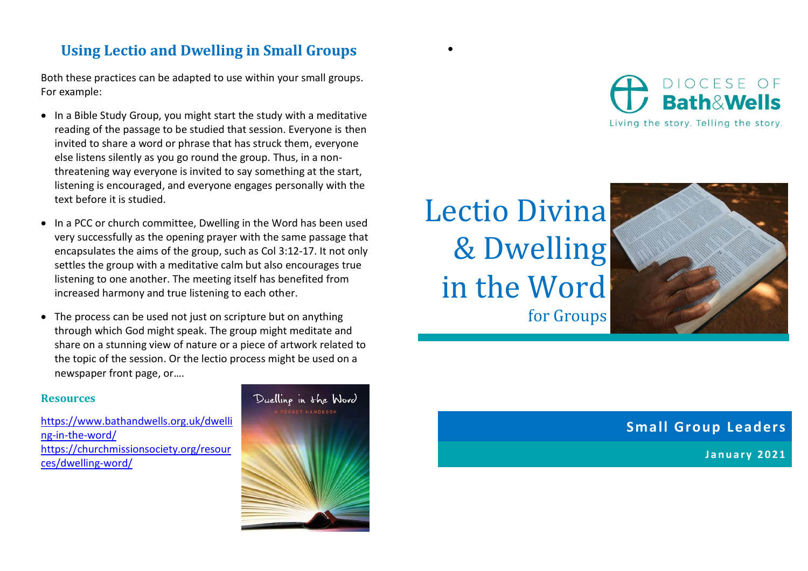## **Using Lectio and Dwelling in Small Groups**

Both these practices can be adapted to use within your small groups. For example:

- In a Bible Study Group, you might start the study with a meditative reading of the passage to be studied that session. Everyone is then invited to share a word or phrase that has struck them, everyone else listens silently as you go round the group. Thus, in a nonthreatening way everyone is invited to say something at the start, listening is encouraged, and everyone engages personally with the text before it is studied.
- In a PCC or church committee, Dwelling in the Word has been used very successfully as the opening prayer with the same passage that encapsulates the aims of the group, such as Col 3:12-17. It not only settles the group with a meditative calm but also encourages true listening to one another. The meeting itself has benefited from increased harmony and true listening to each other.
- The process can be used not just on scripture but on anything through which God might speak. The group might meditate and share on a stunning view of nature or a piece of artwork related to the topic of the session. Or the lectio process might be used on a newspaper front page, or….

## **Resources**

[https://www.bathandwells.org.uk/dwelli](https://www.bathandwells.org.uk/dwelling-in-the-word/) [ng-in-the-word/](https://www.bathandwells.org.uk/dwelling-in-the-word/) [https://churchmissionsociety.org/resour](https://churchmissionsociety.org/resources/dwelling-word/) [ces/dwelling-word/](https://churchmissionsociety.org/resources/dwelling-word/)



Lectio Divina & Dwelling in the Word for Groups

•



**Small Group Leaders**

**J a n u a r y 2021**